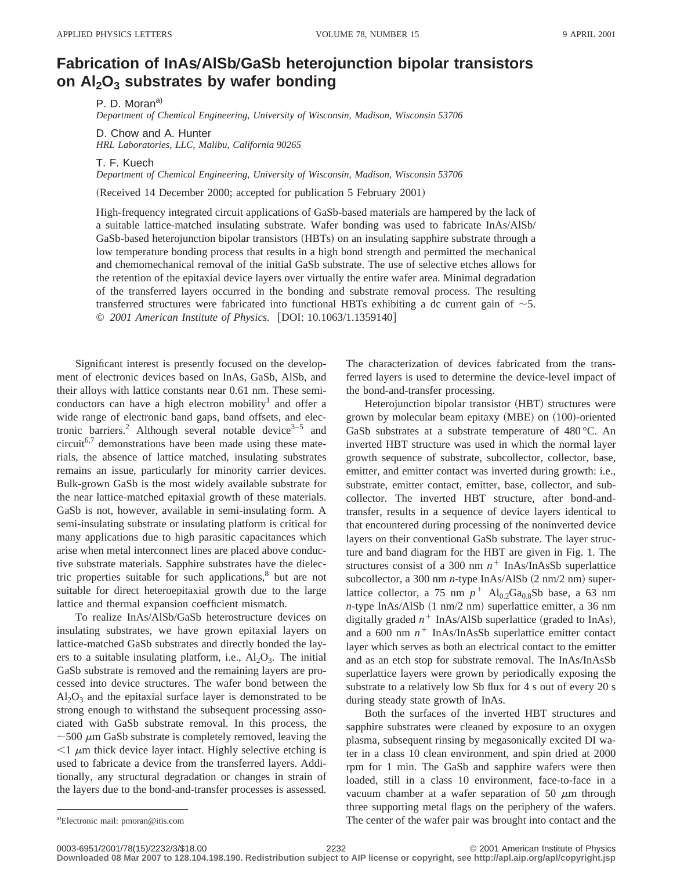## **Fabrication of InAs/AlSb/GaSb heterojunction bipolar transistors on Al2O3 substrates by wafer bonding**

P. D. Moran<sup>a)</sup>

*Department of Chemical Engineering, University of Wisconsin, Madison, Wisconsin 53706*

D. Chow and A. Hunter

*HRL Laboratories, LLC, Malibu, California 90265*

T. F. Kuech

*Department of Chemical Engineering, University of Wisconsin, Madison, Wisconsin 53706*

(Received 14 December 2000; accepted for publication 5 February 2001)

High-frequency integrated circuit applications of GaSb-based materials are hampered by the lack of a suitable lattice-matched insulating substrate. Wafer bonding was used to fabricate InAs/AlSb/ GaSb-based heterojunction bipolar transistors (HBTs) on an insulating sapphire substrate through a low temperature bonding process that results in a high bond strength and permitted the mechanical and chemomechanical removal of the initial GaSb substrate. The use of selective etches allows for the retention of the epitaxial device layers over virtually the entire wafer area. Minimal degradation of the transferred layers occurred in the bonding and substrate removal process. The resulting transferred structures were fabricated into functional HBTs exhibiting a dc current gain of  $\sim$ 5. © 2001 American Institute of Physics. [DOI: 10.1063/1.1359140]

Significant interest is presently focused on the development of electronic devices based on InAs, GaSb, AlSb, and their alloys with lattice constants near 0.61 nm. These semiconductors can have a high electron mobility<sup>1</sup> and offer a wide range of electronic band gaps, band offsets, and electronic barriers.<sup>2</sup> Although several notable device<sup>3-5</sup> and  $circuit<sup>6,7</sup>$  demonstrations have been made using these materials, the absence of lattice matched, insulating substrates remains an issue, particularly for minority carrier devices. Bulk-grown GaSb is the most widely available substrate for the near lattice-matched epitaxial growth of these materials. GaSb is not, however, available in semi-insulating form. A semi-insulating substrate or insulating platform is critical for many applications due to high parasitic capacitances which arise when metal interconnect lines are placed above conductive substrate materials. Sapphire substrates have the dielectric properties suitable for such applications,<sup>8</sup> but are not suitable for direct heteroepitaxial growth due to the large lattice and thermal expansion coefficient mismatch.

To realize InAs/AlSb/GaSb heterostructure devices on insulating substrates, we have grown epitaxial layers on lattice-matched GaSb substrates and directly bonded the layers to a suitable insulating platform, i.e.,  $Al_2O_3$ . The initial GaSb substrate is removed and the remaining layers are processed into device structures. The wafer bond between the  $Al_2O_3$  and the epitaxial surface layer is demonstrated to be strong enough to withstand the subsequent processing associated with GaSb substrate removal. In this process, the  $\sim$ 500  $\mu$ m GaSb substrate is completely removed, leaving the  $\leq$ 1  $\mu$ m thick device layer intact. Highly selective etching is used to fabricate a device from the transferred layers. Additionally, any structural degradation or changes in strain of the layers due to the bond-and-transfer processes is assessed. The characterization of devices fabricated from the transferred layers is used to determine the device-level impact of the bond-and-transfer processing.

Heterojunction bipolar transistor (HBT) structures were grown by molecular beam epitaxy (MBE) on (100)-oriented GaSb substrates at a substrate temperature of 480 °C. An inverted HBT structure was used in which the normal layer growth sequence of substrate, subcollector, collector, base, emitter, and emitter contact was inverted during growth: i.e., substrate, emitter contact, emitter, base, collector, and subcollector. The inverted HBT structure, after bond-andtransfer, results in a sequence of device layers identical to that encountered during processing of the noninverted device layers on their conventional GaSb substrate. The layer structure and band diagram for the HBT are given in Fig. 1. The structures consist of a 300 nm  $n^+$  InAs/InAsSb superlattice subcollector, a 300 nm  $n$ -type InAs/AlSb  $(2 \text{ nm}/2 \text{ nm})$  superlattice collector, a 75 nm  $p^+$  Al<sub>0.2</sub>Ga<sub>0.8</sub>Sb base, a 63 nm *n*-type InAs/AlSb (1 nm/2 nm) superlattice emitter, a 36 nm digitally graded  $n^+$  InAs/AlSb superlattice (graded to InAs), and a  $600 \text{ nm } n^+$  InAs/InAsSb superlattice emitter contact layer which serves as both an electrical contact to the emitter and as an etch stop for substrate removal. The InAs/InAsSb superlattice layers were grown by periodically exposing the substrate to a relatively low Sb flux for 4 s out of every 20 s during steady state growth of InAs.

Both the surfaces of the inverted HBT structures and sapphire substrates were cleaned by exposure to an oxygen plasma, subsequent rinsing by megasonically excited DI water in a class 10 clean environment, and spin dried at 2000 rpm for 1 min. The GaSb and sapphire wafers were then loaded, still in a class 10 environment, face-to-face in a vacuum chamber at a wafer separation of 50  $\mu$ m through three supporting metal flags on the periphery of the wafers. The center of the wafer pair was brought into contact and the

**Downloaded 08 Mar 2007 to 128.104.198.190. Redistribution subject to AIP license or copyright, see http://apl.aip.org/apl/copyright.jsp**

Electronic mail: pmoran@itis.com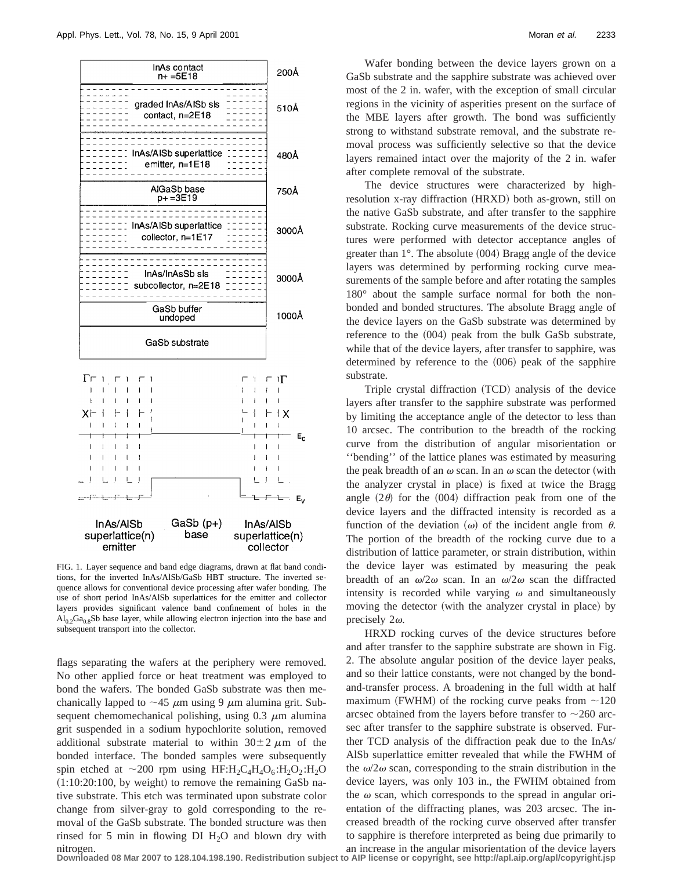



FIG. 1. Layer sequence and band edge diagrams, drawn at flat band conditions, for the inverted InAs/AlSb/GaSb HBT structure. The inverted sequence allows for conventional device processing after wafer bonding. The use of short period InAs/AlSb superlattices for the emitter and collector layers provides significant valence band confinement of holes in the  $\text{Al}_{0.2}\text{Ga}_{0.8}\text{S}$ b base layer, while allowing electron injection into the base and subsequent transport into the collector.

flags separating the wafers at the periphery were removed. No other applied force or heat treatment was employed to bond the wafers. The bonded GaSb substrate was then mechanically lapped to  $\sim$ 45  $\mu$ m using 9  $\mu$ m alumina grit. Subsequent chemomechanical polishing, using  $0.3 \mu$ m alumina grit suspended in a sodium hypochlorite solution, removed additional substrate material to within  $30\pm2 \ \mu m$  of the bonded interface. The bonded samples were subsequently spin etched at  $\sim$ 200 rpm using HF:H<sub>2</sub>C<sub>4</sub>H<sub>4</sub>O<sub>6</sub>:H<sub>2</sub>O<sub>2</sub>:H<sub>2</sub>O  $(1:10:20:100,$  by weight) to remove the remaining GaSb native substrate. This etch was terminated upon substrate color change from silver-gray to gold corresponding to the removal of the GaSb substrate. The bonded structure was then rinsed for 5 min in flowing DI  $H<sub>2</sub>O$  and blown dry with nitrogen.

Wafer bonding between the device layers grown on a GaSb substrate and the sapphire substrate was achieved over most of the 2 in. wafer, with the exception of small circular regions in the vicinity of asperities present on the surface of the MBE layers after growth. The bond was sufficiently strong to withstand substrate removal, and the substrate removal process was sufficiently selective so that the device layers remained intact over the majority of the 2 in. wafer after complete removal of the substrate.

The device structures were characterized by highresolution x-ray diffraction (HRXD) both as-grown, still on the native GaSb substrate, and after transfer to the sapphire substrate. Rocking curve measurements of the device structures were performed with detector acceptance angles of greater than  $1^\circ$ . The absolute  $(004)$  Bragg angle of the device layers was determined by performing rocking curve measurements of the sample before and after rotating the samples 180° about the sample surface normal for both the nonbonded and bonded structures. The absolute Bragg angle of the device layers on the GaSb substrate was determined by reference to the  $(004)$  peak from the bulk GaSb substrate, while that of the device layers, after transfer to sapphire, was determined by reference to the  $(006)$  peak of the sapphire substrate.

Triple crystal diffraction (TCD) analysis of the device layers after transfer to the sapphire substrate was performed by limiting the acceptance angle of the detector to less than 10 arcsec. The contribution to the breadth of the rocking curve from the distribution of angular misorientation or ''bending'' of the lattice planes was estimated by measuring the peak breadth of an  $\omega$  scan. In an  $\omega$  scan the detector (with the analyzer crystal in place) is fixed at twice the Bragg angle  $(2\theta)$  for the  $(004)$  diffraction peak from one of the device layers and the diffracted intensity is recorded as a function of the deviation  $(\omega)$  of the incident angle from  $\theta$ . The portion of the breadth of the rocking curve due to a distribution of lattice parameter, or strain distribution, within the device layer was estimated by measuring the peak breadth of an  $\omega/2\omega$  scan. In an  $\omega/2\omega$  scan the diffracted intensity is recorded while varying  $\omega$  and simultaneously moving the detector (with the analyzer crystal in place) by precisely  $2\omega$ .

HRXD rocking curves of the device structures before and after transfer to the sapphire substrate are shown in Fig. 2. The absolute angular position of the device layer peaks, and so their lattice constants, were not changed by the bondand-transfer process. A broadening in the full width at half maximum (FWHM) of the rocking curve peaks from  $\sim$ 120 arcsec obtained from the layers before transfer to  $\sim$ 260 arcsec after transfer to the sapphire substrate is observed. Further TCD analysis of the diffraction peak due to the InAs/ AlSb superlattice emitter revealed that while the FWHM of the  $\omega/2\omega$  scan, corresponding to the strain distribution in the device layers, was only 103 in., the FWHM obtained from the  $\omega$  scan, which corresponds to the spread in angular orientation of the diffracting planes, was 203 arcsec. The increased breadth of the rocking curve observed after transfer to sapphire is therefore interpreted as being due primarily to

an increase in the angular misorientation of the device layers **Downloaded 08 Mar 2007 to 128.104.198.190. Redistribution subject to AIP license or copyright, see http://apl.aip.org/apl/copyright.jsp**